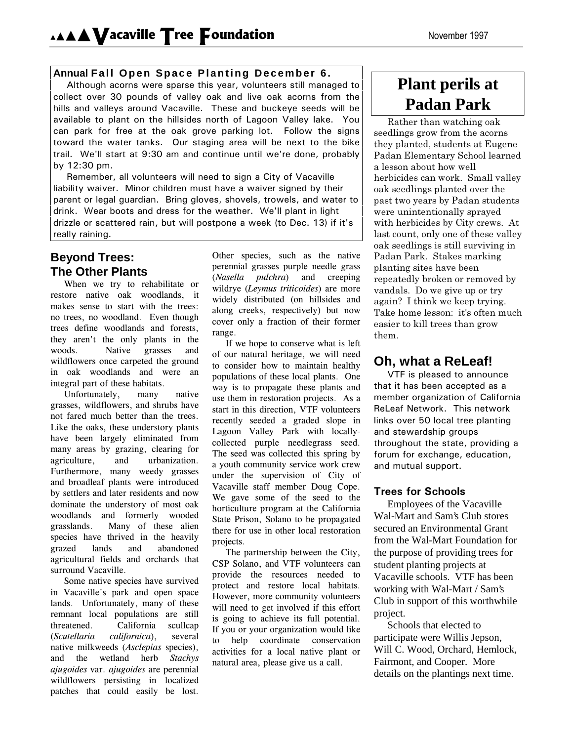#### **Annual F a l l O p e n Space Planting December 6.**

Although acorns were sparse this year, volunteers still managed to collect over 30 pounds of valley oak and live oak acorns from the hills and valleys around Vacaville. These and buckeye seeds will be available to plant on the hillsides north of Lagoon Valley lake. You can park for free at the oak grove parking lot. Follow the signs toward the water tanks. Our staging area will be next to the bike trail. We'll start at 9:30 am and continue until we're done, probably by  $12:30$  pm.

Remember, all volunteers will need to sign a City of Vacaville liability waiver. Minor children must have a waiver signed by their parent or legal guardian. Bring gloves, shovels, trowels, and water to drink. Wear boots and dress for the weather. We'll plant in light drizzle or scattered rain, but will postpone a week (to Dec. 13) if it's really raining.

## **Beyond Trees: The Other Plants**

When we try to rehabilitate or restore native oak woodlands, it makes sense to start with the trees: no trees, no woodland. Even though trees define woodlands and forests, they aren't the only plants in the woods. Native grasses and wildflowers once carpeted the ground in oak woodlands and were an integral part of these habitats.

Unfortunately, many native grasses, wildflowers, and shrubs have not fared much better than the trees. Like the oaks, these understory plants have been largely eliminated from many areas by grazing, clearing for agriculture, and urbanization. Furthermore, many weedy grasses and broadleaf plants were introduced by settlers and later residents and now dominate the understory of most oak woodlands and formerly wooded grasslands. Many of these alien species have thrived in the heavily grazed lands and abandoned agricultural fields and orchards that surround Vacaville.

Some native species have survived in Vacaville's park and open space lands. Unfortunately, many of these remnant local populations are still threatened. California scullcap *(Scutellaria californica)*, several native milkweeds (Asclepias species), and the wetland herb *Stachys ajugoides* var. *ajugoides* are perennial wildflowers persisting in localized patches that could easily be lost.

Other species, such as the native perennial grasses purple needle grass *(Nasella pulchra)* and creeping wildrye (Leymus triticoides) are more widely distributed (on hillsides and along creeks, respectively) but now cover only a fraction of their former range.

If we hope to conserve what is left of our natural heritage, we will need to consider how to maintain healthy populations of these local plants. One way is to propagate these plants and use them in restoration projects. As a start in this direction, VTF volunteers recently seeded a graded slope in Lagoon Valley Park with locallycollected purple needlegrass seed. The seed was collected this spring by a youth community service work crew under the supervision of City of Vacaville staff member Doug Cope. We gave some of the seed to the horticulture program at the California State Prison, Solano to be propagated there for use in other local restoration projects.

The partnership between the City, CSP Solano, and VTF volunteers can provide the resources needed to protect and restore local habitats. However, more community volunteers will need to get involved if this effort is going to achieve its full potential. If you or your organization would like to help coordinate conservation activities for a local native plant or natural area, please give us a call.

# **Plant perils at Padan Park**

Rather than watching oak seedlings grow from the acorns they planted, students at Eugene Padan Elementary School learned a lesson about how well herbicides can work. Small valley oak seedlings planted over the past two years by Padan students were unintentionally sprayed with herbicides by City crews. At last count, only one of these valley oak seedlings is still surviving in Padan Park. Stakes marking planting sites have been repeatedly broken or removed by vandals. Do we give up or try again? I think we keep trying. Take home lesson: it's often much easier to kill trees than grow them.

## **Oh, what a ReLeaf!**

VTF is pleased to announce that it has been accepted as a member organization of California ReLeaf Network. This network links over 50 local tree planting and stewardship groups throughout the state, providing a forum for exchange, education, and mutual support.

#### **Trees for Schools**

Employees of the Vacaville Wal-Mart and Sam's Club stores secured an Environmental Grant from the Wal-Mart Foundation for the purpose of providing trees for student planting projects at Vacaville schools. VTF has been working with Wal-Mart / Sam's Club in support of this worthwhile project.

Schools that elected to participate were Willis Jepson, Will C. Wood, Orchard, Hemlock, Fairmont, and Cooper. More details on the plantings next time.